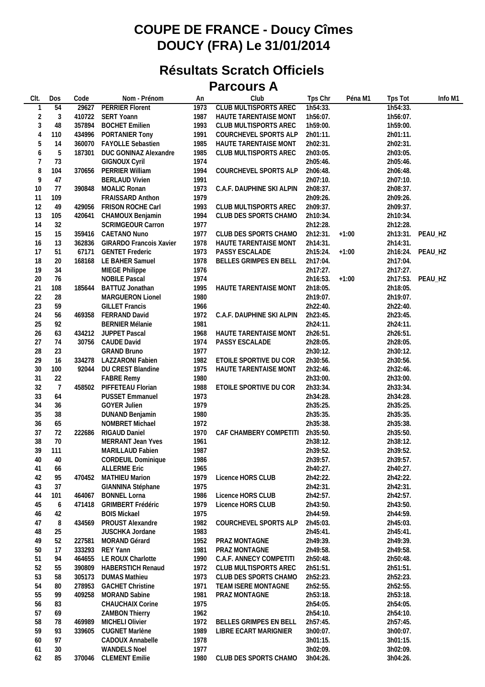## **COUPE DE FRANCE - Doucy Cîmes DOUCY (FRA) Le 31/01/2014**

## **Résultats Scratch Officiels Parcours A**

| CIt.           | Dos | Code   | Nom - Prénom                   | An   | Club                         | Tps Chr  | Péna M1 | Tps Tot  | Info M1          |
|----------------|-----|--------|--------------------------------|------|------------------------------|----------|---------|----------|------------------|
|                | 54  | 29627  | <b>PERRIER Florent</b>         | 1973 | <b>CLUB MULTISPORTS AREC</b> | 1h54:33. |         | 1h54:33. |                  |
| $\overline{2}$ | 3   |        | 410722 SERT Yoann              | 1987 | HAUTE TARENTAISE MONT        | 1h56:07. |         | 1h56:07. |                  |
| 3              | 48  | 357894 | <b>BOCHET Emilien</b>          | 1993 | CLUB MULTISPORTS AREC        | 1h59:00. |         | 1h59:00. |                  |
| $\overline{4}$ | 110 | 434996 | PORTANIER Tony                 | 1991 | COURCHEVEL SPORTS ALP        | 2h01:11. |         | 2h01:11. |                  |
| 5              | 14  |        | 360070 FAYOLLE Sebastien       | 1985 | HAUTE TARENTAISE MONT        | 2h02:31. |         | 2h02:31. |                  |
| 6              | 5   | 187301 | DUC GONINAZ Alexandre          | 1985 | CLUB MULTISPORTS AREC        | 2h03:05. |         | 2h03:05. |                  |
| 7              | 73  |        | <b>GIGNOUX Cyril</b>           | 1974 |                              | 2h05:46. |         | 2h05:46. |                  |
| 8              | 104 | 370656 | PERRIER William                | 1994 | COURCHEVEL SPORTS ALP        | 2h06:48. |         | 2h06:48. |                  |
| 9              | 47  |        | <b>BERLAUD Vivien</b>          | 1991 |                              | 2h07:10. |         | 2h07:10. |                  |
| 10             | 77  | 390848 |                                | 1973 |                              | 2h08:37. |         | 2h08:37. |                  |
|                |     |        | MOALIC Ronan                   |      | C.A.F. DAUPHINE SKI ALPIN    |          |         |          |                  |
| 11             | 109 |        | <b>FRAISSARD Anthon</b>        | 1979 |                              | 2h09:26. |         | 2h09:26. |                  |
| 12             | 49  | 429056 | FRISON ROCHE Carl              | 1993 | CLUB MULTISPORTS AREC        | 2h09:37. |         | 2h09:37. |                  |
| 13             | 105 | 420641 | CHAMOUX Benjamin               | 1994 | CLUB DES SPORTS CHAMO        | 2h10:34. |         | 2h10:34. |                  |
| 14             | 32  |        | SCRIMGEOUR Carron              | 1977 |                              | 2h12:28. |         | 2h12:28. |                  |
| 15             | 15  |        | 359416 CAETANO Nuno            | 1977 | CLUB DES SPORTS CHAMO        | 2h12:31. | $+1:00$ |          | 2h13:31. PEAU_HZ |
| 16             | 13  |        | 362836 GIRARDO Francois Xavier | 1978 | HAUTE TARENTAISE MONT        | 2h14:31. |         | 2h14:31. |                  |
| 17             | 51  | 67171  | <b>GENTET Frederic</b>         | 1973 | PASSY ESCALADE               | 2h15:24. | $+1:00$ |          | 2h16:24. PEAU_HZ |
| 18             | 20  |        | 168168 LE BAHER Samuel         | 1978 | BELLES GRIMPES EN BELL       | 2h17:04. |         | 2h17:04. |                  |
| 19             | 34  |        | MIEGE Philippe                 | 1976 |                              | 2h17:27. |         | 2h17:27. |                  |
| 20             | 76  |        | <b>NOBILE Pascal</b>           | 1974 |                              | 2h16:53. | $+1:00$ |          | 2h17:53. PEAU_HZ |
| 21             | 108 | 185644 | BATTUZ Jonathan                | 1995 | HAUTE TARENTAISE MONT        | 2h18:05. |         | 2h18:05. |                  |
| 22             | 28  |        | <b>MARGUERON Lionel</b>        | 1980 |                              | 2h19:07. |         | 2h19:07. |                  |
| 23             | 59  |        | <b>GILLET Francis</b>          | 1966 |                              | 2h22:40. |         | 2h22:40. |                  |
| 24             | 56  |        | 469358 FERRAND David           | 1972 | C.A.F. DAUPHINE SKI ALPIN    | 2h23:45. |         | 2h23:45. |                  |
| 25             | 92  |        | <b>BERNIER Mélanie</b>         | 1981 |                              | 2h24:11. |         | 2h24:11. |                  |
| 26             | 63  | 434212 | JUPPET Pascal                  | 1968 | HAUTE TARENTAISE MONT        | 2h26:51. |         | 2h26:51. |                  |
| 27             | 74  |        | 30756 CAUDE David              | 1974 | PASSY ESCALADE               | 2h28:05. |         | 2h28:05. |                  |
| 28             | 23  |        | <b>GRAND Bruno</b>             | 1977 |                              | 2h30:12. |         | 2h30:12. |                  |
| 29             | 16  |        | 334278 LAZZARONI Fabien        | 1982 | ETOILE SPORTIVE DU COR       | 2h30:56. |         | 2h30:56. |                  |
| 30             | 100 | 92044  | DU CREST Blandine              | 1975 | HAUTE TARENTAISE MONT        | 2h32:46. |         | 2h32:46. |                  |
| 31             | 22  |        | <b>FABRE Remy</b>              | 1980 |                              | 2h33:00. |         | 2h33:00. |                  |
| 32             | 7   | 458502 | PIFFETEAU Florian              | 1988 | ETOILE SPORTIVE DU COR       | 2h33:34. |         | 2h33:34. |                  |
| 33             | 64  |        |                                | 1973 |                              | 2h34:28. |         | 2h34:28. |                  |
|                | 36  |        | <b>PUSSET Emmanuel</b>         |      |                              |          |         |          |                  |
| 34             |     |        | <b>GOYER Julien</b>            | 1979 |                              | 2h35:25. |         | 2h35:25. |                  |
| 35             | 38  |        | <b>DUNAND Benjamin</b>         | 1980 |                              | 2h35:35. |         | 2h35:35. |                  |
| 36             | 65  |        | NOMBRET Michael                | 1972 |                              | 2h35:38. |         | 2h35:38. |                  |
| 37             | 72  | 222686 | RIGAUD Daniel                  | 1970 | CAF CHAMBERY COMPETITI       | 2h35:50. |         | 2h35:50. |                  |
| 38             | 70  |        | MERRANT Jean Yves              | 1961 |                              | 2h38:12. |         | 2h38:12. |                  |
| 39             | 111 |        | MARILLAUD Fabien               | 1987 |                              | 2h39:52. |         | 2h39:52. |                  |
| $40\,$         | 40  |        | CORDEUIL Dominique             | 1986 |                              | 2h39:57. |         | 2h39:57. |                  |
| 41             | 66  |        | <b>ALLERME Eric</b>            | 1965 |                              | 2h40:27. |         | 2h40:27. |                  |
| 42             | 95  |        | 470452 MATHIEU Marion          | 1979 | Licence HORS CLUB            | 2h42:22. |         | 2h42:22. |                  |
| 43             | 37  |        | GIANNINA Stéphane              | 1975 |                              | 2h42:31. |         | 2h42:31. |                  |
| 44             | 101 | 464067 | <b>BONNEL Lorna</b>            | 1986 | Licence HORS CLUB            | 2h42:57. |         | 2h42:57. |                  |
| 45             | 6   | 471418 | <b>GRIMBERT Frédéric</b>       | 1979 | Licence HORS CLUB            | 2h43:50. |         | 2h43:50. |                  |
| 46             | 42  |        | <b>BOIS Mickael</b>            | 1975 |                              | 2h44:59. |         | 2h44:59. |                  |
| 47             | 8   | 434569 | PROUST Alexandre               | 1982 | COURCHEVEL SPORTS ALP        | 2h45:03. |         | 2h45:03. |                  |
| 48             | 25  |        | JUSCHKA Jordane                | 1983 |                              | 2h45:41. |         | 2h45:41. |                  |
| 49             | 52  | 227581 | MORAND Gérard                  | 1952 | PRAZ MONTAGNE                | 2h49:39. |         | 2h49:39. |                  |
| 50             | 17  | 333293 | REY Yann                       | 1981 | PRAZ MONTAGNE                | 2h49:58. |         | 2h49:58. |                  |
| 51             | 94  | 464655 | LE ROUX Charlotte              | 1990 | C.A.F. ANNECY COMPETITI      | 2h50:48. |         | 2h50:48. |                  |
| 52             | 55  | 390809 | HABERSTICH Renaud              | 1972 | CLUB MULTISPORTS AREC        | 2h51:51. |         | 2h51:51. |                  |
| 53             | 58  | 305173 | <b>DUMAS Mathieu</b>           | 1973 | CLUB DES SPORTS CHAMO        | 2h52:23. |         | 2h52:23. |                  |
| 54             | 80  | 278953 | <b>GACHET Christine</b>        | 1971 | TEAM ISERE MONTAGNE          | 2h52:55. |         | 2h52:55. |                  |
| 55             | 99  | 409258 | <b>MORAND Sabine</b>           | 1981 | PRAZ MONTAGNE                | 2h53:18. |         | 2h53:18. |                  |
|                |     |        | <b>CHAUCHAIX Corine</b>        | 1975 |                              | 2h54:05. |         |          |                  |
| 56             | 83  |        |                                |      |                              |          |         | 2h54:05. |                  |
| 57             | 69  |        | <b>ZAMBON Thierry</b>          | 1962 |                              | 2h54:10. |         | 2h54:10. |                  |
| 58             | 78  | 469989 | MICHELI Olivier                | 1972 | BELLES GRIMPES EN BELL       | 2h57:45. |         | 2h57:45. |                  |
| 59             | 93  | 339605 | CUGNET Marlène                 | 1989 | LIBRE ECART MARIGNIER        | 3h00:07. |         | 3h00:07. |                  |
| 60             | 97  |        | CADOUX Annabelle               | 1978 |                              | 3h01:15. |         | 3h01:15. |                  |
| 61             | 30  |        | <b>WANDELS Noel</b>            | 1977 |                              | 3h02:09. |         | 3h02:09. |                  |
| 62             | 85  | 370046 | <b>CLEMENT Emilie</b>          | 1980 | CLUB DES SPORTS CHAMO        | 3h04:26. |         | 3h04:26. |                  |